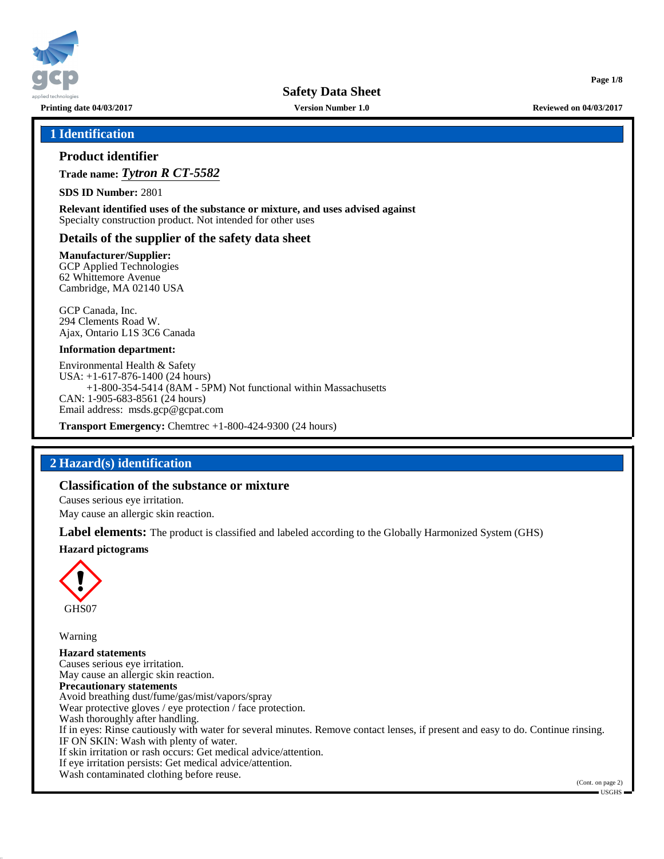

**Printing date 04/03/2017 Version Number 1.0 Reviewed on 04/03/2017**

**Page 1/8**

# **1 Identification**

# **Product identifier**

**Trade name:** *Tytron R CT-5582*

**SDS ID Number:** 2801

**Relevant identified uses of the substance or mixture, and uses advised against** Specialty construction product. Not intended for other uses

# **Details of the supplier of the safety data sheet**

**Manufacturer/Supplier:**

GCP Applied Technologies 62 Whittemore Avenue Cambridge, MA 02140 USA

GCP Canada, Inc. 294 Clements Road W. Ajax, Ontario L1S 3C6 Canada

#### **Information department:**

Environmental Health & Safety USA: +1-617-876-1400 (24 hours) +1-800-354-5414 (8AM - 5PM) Not functional within Massachusetts CAN: 1-905-683-8561 (24 hours) Email address: msds.gcp@gcpat.com

**Transport Emergency:** Chemtrec +1-800-424-9300 (24 hours)

# **2 Hazard(s) identification**

# **Classification of the substance or mixture**

Causes serious eye irritation.

May cause an allergic skin reaction.

**Label elements:** The product is classified and labeled according to the Globally Harmonized System (GHS)

#### **Hazard pictograms**



Warning

**Hazard statements** Causes serious eye irritation. May cause an allergic skin reaction. **Precautionary statements** Avoid breathing dust/fume/gas/mist/vapors/spray Wear protective gloves / eye protection / face protection. Wash thoroughly after handling. If in eyes: Rinse cautiously with water for several minutes. Remove contact lenses, if present and easy to do. Continue rinsing. IF ON SKIN: Wash with plenty of water. If skin irritation or rash occurs: Get medical advice/attention. If eye irritation persists: Get medical advice/attention. Wash contaminated clothing before reuse.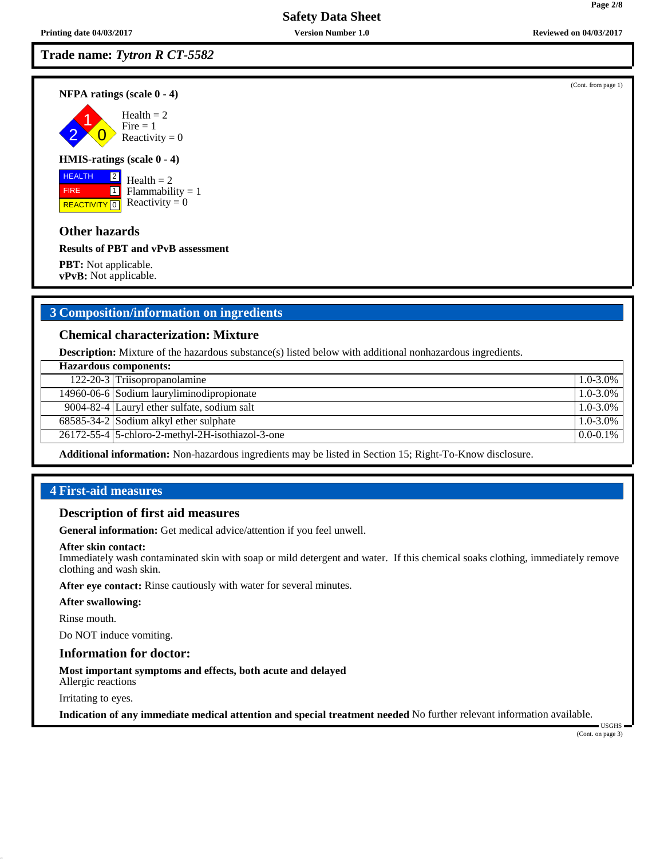# **Trade name:** *Tytron R CT-5582*

**NFPA ratings (scale 0 - 4)**

2 1  $\overline{\mathbf{0}}$  $Health = 2$  $Fire = 1$ Reactivity  $= 0$ 

#### **HMIS-ratings (scale 0 - 4)**

 HEALTH FIRE **REACTIVITY** 0 2  $\boxed{1}$ 

# $Health = 2$  $Flammability = 1$ Reactivity  $= 0$

# **Other hazards**

**Results of PBT and vPvB assessment**

**PBT:** Not applicable. **vPvB:** Not applicable.

# **3 Composition/information on ingredients**

#### **Chemical characterization: Mixture**

**Description:** Mixture of the hazardous substance(s) listed below with additional nonhazardous ingredients.

| <b>Hazardous components:</b> |                                                        |               |  |
|------------------------------|--------------------------------------------------------|---------------|--|
|                              | 122-20-3 Triisopropanolamine                           | 1.0-3.0%      |  |
|                              | 14960-06-6 Sodium lauryliminodipropionate              | 1.0-3.0%      |  |
|                              | 9004-82-4 Lauryl ether sulfate, sodium salt            | 1.0-3.0%      |  |
|                              | $68585-34-2$ Sodium alkyl ether sulphate               | $1.0 - 3.0\%$ |  |
|                              | $26172 - 55 - 4$ 5-chloro-2-methyl-2H-isothiazol-3-one | $0.0 - 0.1\%$ |  |
|                              |                                                        |               |  |

**Additional information:** Non-hazardous ingredients may be listed in Section 15; Right-To-Know disclosure.

# **4 First-aid measures**

# **Description of first aid measures**

**General information:** Get medical advice/attention if you feel unwell.

#### **After skin contact:**

Immediately wash contaminated skin with soap or mild detergent and water. If this chemical soaks clothing, immediately remove clothing and wash skin.

**After eye contact:** Rinse cautiously with water for several minutes.

#### **After swallowing:**

Rinse mouth.

Do NOT induce vomiting.

#### **Information for doctor:**

**Most important symptoms and effects, both acute and delayed**

Allergic reactions

Irritating to eyes.

**Indication of any immediate medical attention and special treatment needed** No further relevant information available.

(Cont. on page 3)

USGHS

(Cont. from page 1)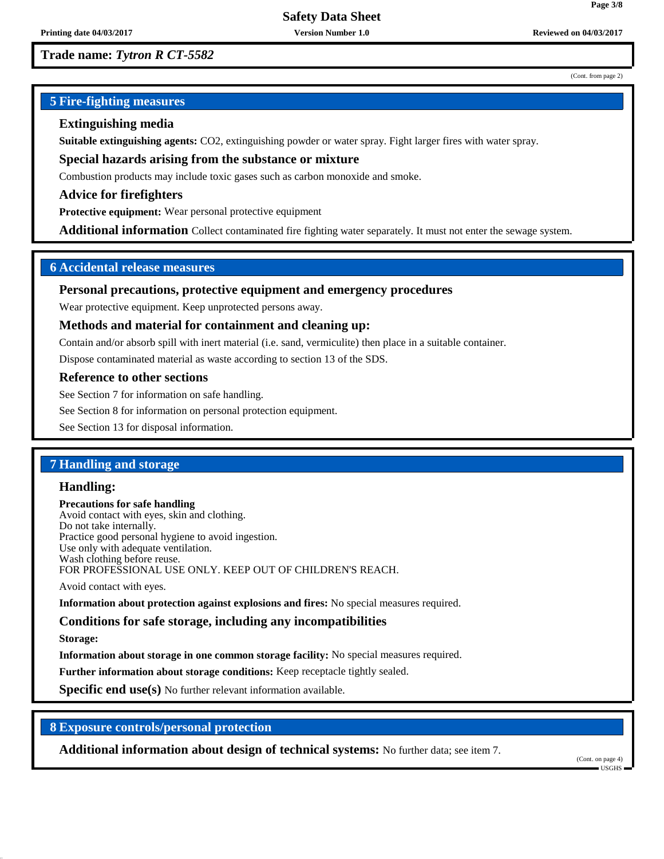#### (Cont. from page 2)

**Page 3/8**

# **5 Fire-fighting measures**

# **Extinguishing media**

**Suitable extinguishing agents:** CO2, extinguishing powder or water spray. Fight larger fires with water spray.

**Special hazards arising from the substance or mixture**

Combustion products may include toxic gases such as carbon monoxide and smoke.

**Advice for firefighters**

**Protective equipment:** Wear personal protective equipment

**Additional information** Collect contaminated fire fighting water separately. It must not enter the sewage system.

# **6 Accidental release measures**

### **Personal precautions, protective equipment and emergency procedures**

Wear protective equipment. Keep unprotected persons away.

#### **Methods and material for containment and cleaning up:**

Contain and/or absorb spill with inert material (i.e. sand, vermiculite) then place in a suitable container.

Dispose contaminated material as waste according to section 13 of the SDS.

#### **Reference to other sections**

See Section 7 for information on safe handling.

See Section 8 for information on personal protection equipment.

See Section 13 for disposal information.

# **7 Handling and storage**

#### **Handling:**

**Precautions for safe handling** Avoid contact with eyes, skin and clothing. Do not take internally. Practice good personal hygiene to avoid ingestion. Use only with adequate ventilation. Wash clothing before reuse. FOR PROFESSIONAL USE ONLY. KEEP OUT OF CHILDREN'S REACH.

Avoid contact with eyes.

**Information about protection against explosions and fires:** No special measures required.

# **Conditions for safe storage, including any incompatibilities**

**Storage:**

**Information about storage in one common storage facility:** No special measures required.

**Further information about storage conditions:** Keep receptacle tightly sealed.

**Specific end use(s)** No further relevant information available.

# **8 Exposure controls/personal protection**

**Additional information about design of technical systems:** No further data; see item 7.

(Cont. on page 4) USGHS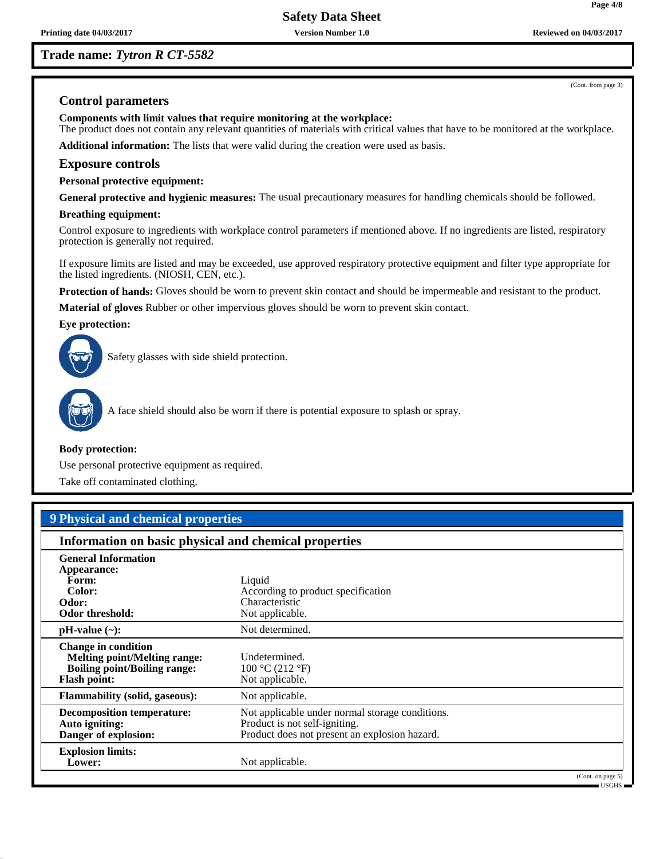**Trade name:** *Tytron R CT-5582*

(Cont. from page 3)

**Page 4/8**

# **Control parameters**

**Components with limit values that require monitoring at the workplace:**

The product does not contain any relevant quantities of materials with critical values that have to be monitored at the workplace. **Additional information:** The lists that were valid during the creation were used as basis.

# **Exposure controls**

**Personal protective equipment:**

**General protective and hygienic measures:** The usual precautionary measures for handling chemicals should be followed.

#### **Breathing equipment:**

Control exposure to ingredients with workplace control parameters if mentioned above. If no ingredients are listed, respiratory protection is generally not required.

If exposure limits are listed and may be exceeded, use approved respiratory protective equipment and filter type appropriate for the listed ingredients. (NIOSH, CEN, etc.).

**Protection of hands:** Gloves should be worn to prevent skin contact and should be impermeable and resistant to the product.

**Material of gloves** Rubber or other impervious gloves should be worn to prevent skin contact.

#### **Eye protection:**



Safety glasses with side shield protection.



A face shield should also be worn if there is potential exposure to splash or spray.

#### **Body protection:**

Use personal protective equipment as required.

Take off contaminated clothing.

# **9 Physical and chemical properties**

# **Information on basic physical and chemical properties**

| <b>General Information</b><br>Appearance:<br>Form:<br>Color:<br>Odor:<br>Odor threshold:                                        | Liquid<br>According to product specification<br>Characteristic<br>Not applicable.                                                 |
|---------------------------------------------------------------------------------------------------------------------------------|-----------------------------------------------------------------------------------------------------------------------------------|
| $pH-value$ (~):                                                                                                                 | Not determined.                                                                                                                   |
| <b>Change in condition</b><br><b>Melting point/Melting range:</b><br><b>Boiling point/Boiling range:</b><br><b>Flash point:</b> | Undetermined.<br>100 °C (212 °F)<br>Not applicable.                                                                               |
| <b>Flammability (solid, gaseous):</b>                                                                                           | Not applicable.                                                                                                                   |
| <b>Decomposition temperature:</b><br>Auto igniting:<br>Danger of explosion:                                                     | Not applicable under normal storage conditions.<br>Product is not self-igniting.<br>Product does not present an explosion hazard. |
| <b>Explosion limits:</b><br>Lower:                                                                                              | Not applicable.<br>(Cont. on page 5)                                                                                              |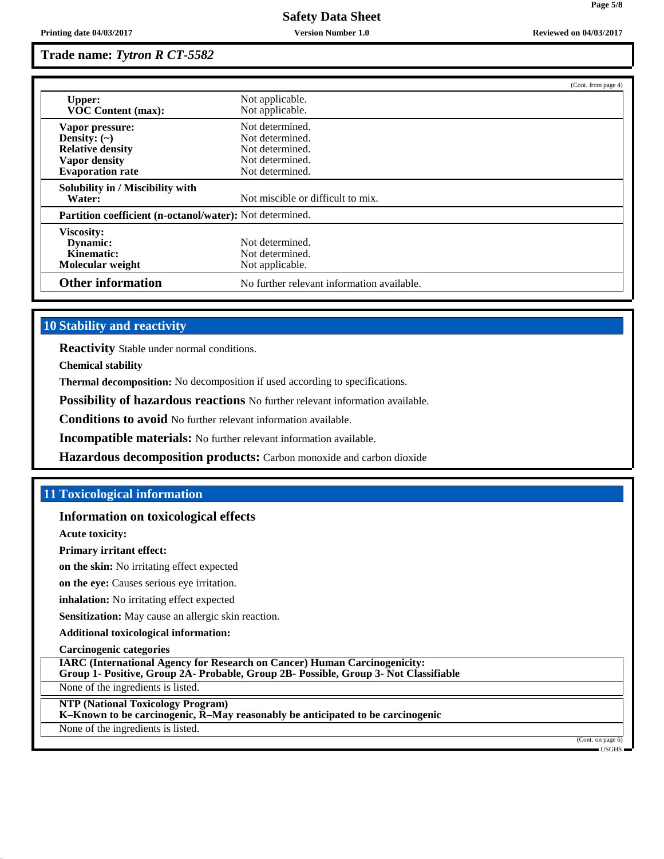|                                                                                                                    |                                                                                             | (Cont. from page 4) |
|--------------------------------------------------------------------------------------------------------------------|---------------------------------------------------------------------------------------------|---------------------|
| <b>Upper:</b><br><b>VOC Content (max):</b>                                                                         | Not applicable.<br>Not applicable.                                                          |                     |
| Vapor pressure:<br>Density: $(\sim)$<br><b>Relative density</b><br><b>Vapor density</b><br><b>Evaporation rate</b> | Not determined.<br>Not determined.<br>Not determined.<br>Not determined.<br>Not determined. |                     |
| Solubility in / Miscibility with<br>Water:                                                                         | Not miscible or difficult to mix.                                                           |                     |
| Partition coefficient (n-octanol/water): Not determined.                                                           |                                                                                             |                     |
| Viscosity:<br>Dynamic:<br>Kinematic:<br>Molecular weight                                                           | Not determined.<br>Not determined.<br>Not applicable.                                       |                     |
| <b>Other information</b>                                                                                           | No further relevant information available.                                                  |                     |

# **10 Stability and reactivity**

**Reactivity** Stable under normal conditions.

**Chemical stability**

**Thermal decomposition:** No decomposition if used according to specifications.

**Possibility of hazardous reactions** No further relevant information available.

**Conditions to avoid** No further relevant information available.

**Incompatible materials:** No further relevant information available.

**Hazardous decomposition products:** Carbon monoxide and carbon dioxide

# **11 Toxicological information**

#### **Information on toxicological effects**

**Acute toxicity:**

**Primary irritant effect:**

**on the skin:** No irritating effect expected

**on the eye:** Causes serious eye irritation.

**inhalation:** No irritating effect expected

**Sensitization:** May cause an allergic skin reaction.

**Additional toxicological information:**

**Carcinogenic categories**

**IARC (International Agency for Research on Cancer) Human Carcinogenicity:**

**Group 1- Positive, Group 2A- Probable, Group 2B- Possible, Group 3- Not Classifiable**

None of the ingredients is listed.

**NTP (National Toxicology Program)**

**K–Known to be carcinogenic, R–May reasonably be anticipated to be carcinogenic**

None of the ingredients is listed.

(Cont. on page 6) USGHS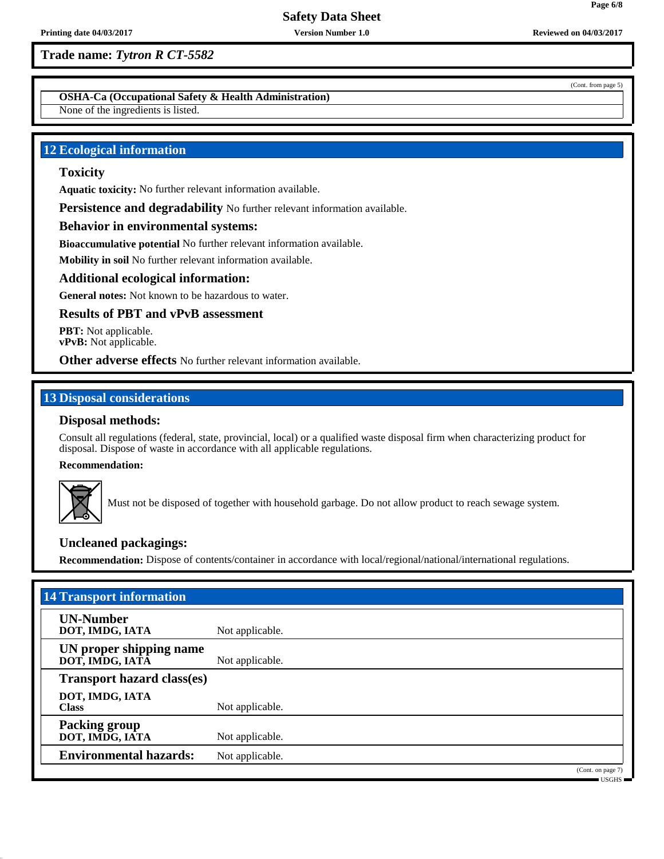**OSHA-Ca (Occupational Safety & Health Administration)**

None of the ingredients is listed.

# **12 Ecological information**

# **Toxicity**

**Aquatic toxicity:** No further relevant information available.

**Persistence and degradability** No further relevant information available.

### **Behavior in environmental systems:**

**Bioaccumulative potential** No further relevant information available.

**Mobility in soil** No further relevant information available.

#### **Additional ecological information:**

**General notes:** Not known to be hazardous to water.

### **Results of PBT and vPvB assessment**

**PBT:** Not applicable. **vPvB:** Not applicable.

**Other adverse effects** No further relevant information available.

# **13 Disposal considerations**

# **Disposal methods:**

Consult all regulations (federal, state, provincial, local) or a qualified waste disposal firm when characterizing product for disposal. Dispose of waste in accordance with all applicable regulations.

**Recommendation:**



Must not be disposed of together with household garbage. Do not allow product to reach sewage system.

# **Uncleaned packagings:**

**Recommendation:** Dispose of contents/container in accordance with local/regional/national/international regulations.

| <b>14 Transport information</b>            |                   |  |  |  |
|--------------------------------------------|-------------------|--|--|--|
| <b>UN-Number</b><br>DOT, IMDG, IATA        | Not applicable.   |  |  |  |
| UN proper shipping name<br>DOT, IMDG, IATĀ | Not applicable.   |  |  |  |
| <b>Transport hazard class(es)</b>          |                   |  |  |  |
| DOT, IMDG, IATA<br><b>Class</b>            | Not applicable.   |  |  |  |
| <b>Packing group</b><br>DOT, IMDG, IATA    | Not applicable.   |  |  |  |
| <b>Environmental hazards:</b>              | Not applicable.   |  |  |  |
|                                            | (Cont. on page 7) |  |  |  |

USGHS

(Cont. from page 5)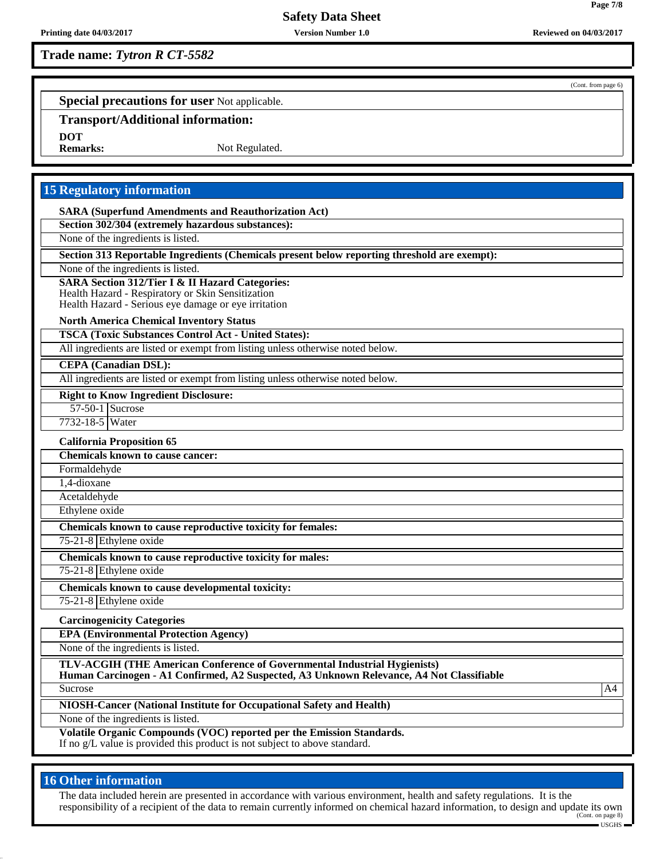# **Trade name:** *Tytron R CT-5582*

(Cont. from page 6)

**Page 7/8**

**Special precautions for user** Not applicable.

# **Transport/Additional information:**

**DOT**

Not Regulated.

# **15 Regulatory information**

**SARA (Superfund Amendments and Reauthorization Act)**

**Section 302/304 (extremely hazardous substances):**

None of the ingredients is listed.

**Section 313 Reportable Ingredients (Chemicals present below reporting threshold are exempt):**

None of the ingredients is listed.

#### **SARA Section 312/Tier I & II Hazard Categories:**

Health Hazard - Respiratory or Skin Sensitization

Health Hazard - Serious eye damage or eye irritation

#### **North America Chemical Inventory Status**

**TSCA (Toxic Substances Control Act - United States):**

All ingredients are listed or exempt from listing unless otherwise noted below.

# **CEPA (Canadian DSL):**

All ingredients are listed or exempt from listing unless otherwise noted below.

#### **Right to Know Ingredient Disclosure:**

57-50-1 Sucrose

# 7732-18-5 Water

**California Proposition 65 Chemicals known to cause cancer:** Formaldehyde 1,4-dioxane

Acetaldehyde

Ethylene oxide

**Chemicals known to cause reproductive toxicity for females:**

75-21-8 Ethylene oxide

**Chemicals known to cause reproductive toxicity for males:**

75-21-8 Ethylene oxide

**Chemicals known to cause developmental toxicity:** 75-21-8 Ethylene oxide

# **Carcinogenicity Categories**

**EPA (Environmental Protection Agency)**

None of the ingredients is listed.

**TLV-ACGIH (THE American Conference of Governmental Industrial Hygienists)**

**Human Carcinogen - A1 Confirmed, A2 Suspected, A3 Unknown Relevance, A4 Not Classifiable** Sucrose A4

**NIOSH-Cancer (National Institute for Occupational Safety and Health)**

None of the ingredients is listed.

**Volatile Organic Compounds (VOC) reported per the Emission Standards.** If no g/L value is provided this product is not subject to above standard.

# **16 Other information**

The data included herein are presented in accordance with various environment, health and safety regulations. It is the responsibility of a recipient of the data to remain currently informed on chemical hazard information, to design and update its own (Cont. on page 8)